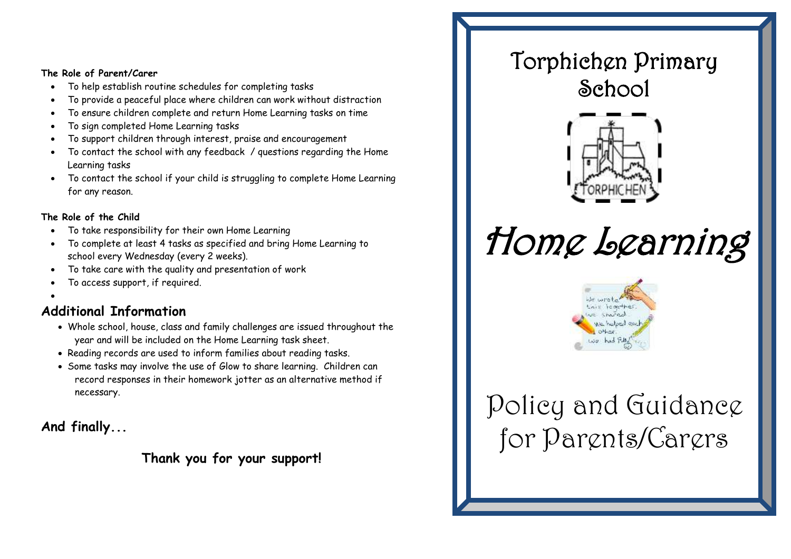#### **The Role of Parent/Carer**

- To help establish routine schedules for completing tasks
- To provide a peaceful place where children can work without distraction
- To ensure children complete and return Home Learning tasks on time
- To sign completed Home Learning tasks
- To support children through interest, praise and encouragement
- To contact the school with any feedback / questions regarding the Home Learning tasks
- To contact the school if your child is struggling to complete Home Learning for any reason.

#### **The Role of the Child**

- To take responsibility for their own Home Learning
- To complete at least 4 tasks as specified and bring Home Learning to school every Wednesday (every 2 weeks).
- To take care with the quality and presentation of work
- To access support, if required.
- $\bullet$

#### **Additional Information**

- Whole school, house, class and family challenges are issued throughout the year and will be included on the Home Learning task sheet.
- Reading records are used to inform families about reading tasks.
- Some tasks may involve the use of Glow to share learning. Children can record responses in their homework jotter as an alternative method if necessary.

**And finally...**

**Thank you for your support!**

### Torphichen Primary School



# Home Learning



## Policy and Guidance for Parents/Carers